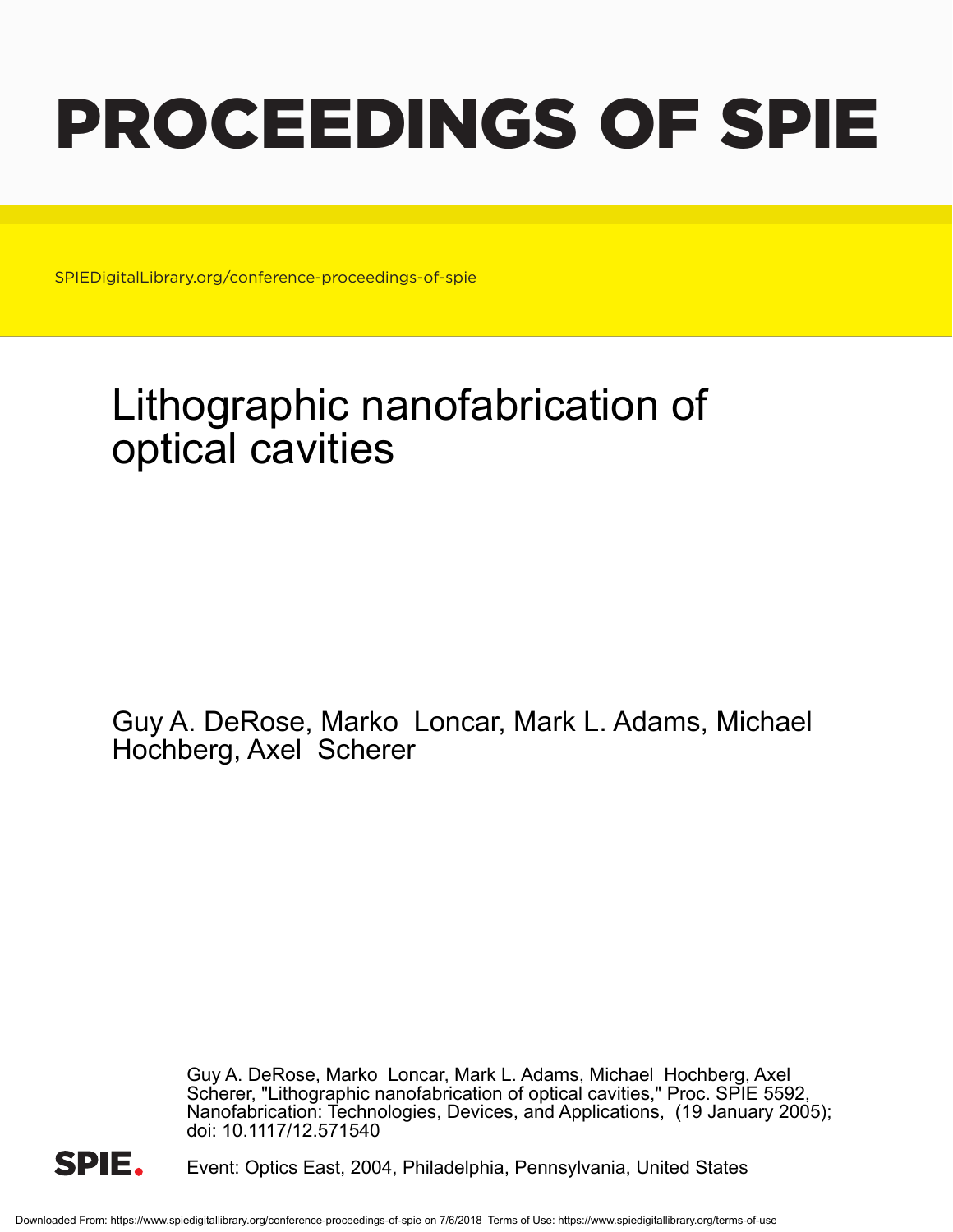# PROCEEDINGS OF SPIE

SPIEDigitalLibrary.org/conference-proceedings-of-spie

## Lithographic nanofabrication of optical cavities

Guy A. DeRose, Marko Loncar, Mark L. Adams, Michael Hochberg, Axel Scherer

> Guy A. DeRose, Marko Loncar, Mark L. Adams, Michael Hochberg, Axel Scherer, "Lithographic nanofabrication of optical cavities," Proc. SPIE 5592, Nanofabrication: Technologies, Devices, and Applications, (19 January 2005); doi: 10.1117/12.571540



Event: Optics East, 2004, Philadelphia, Pennsylvania, United States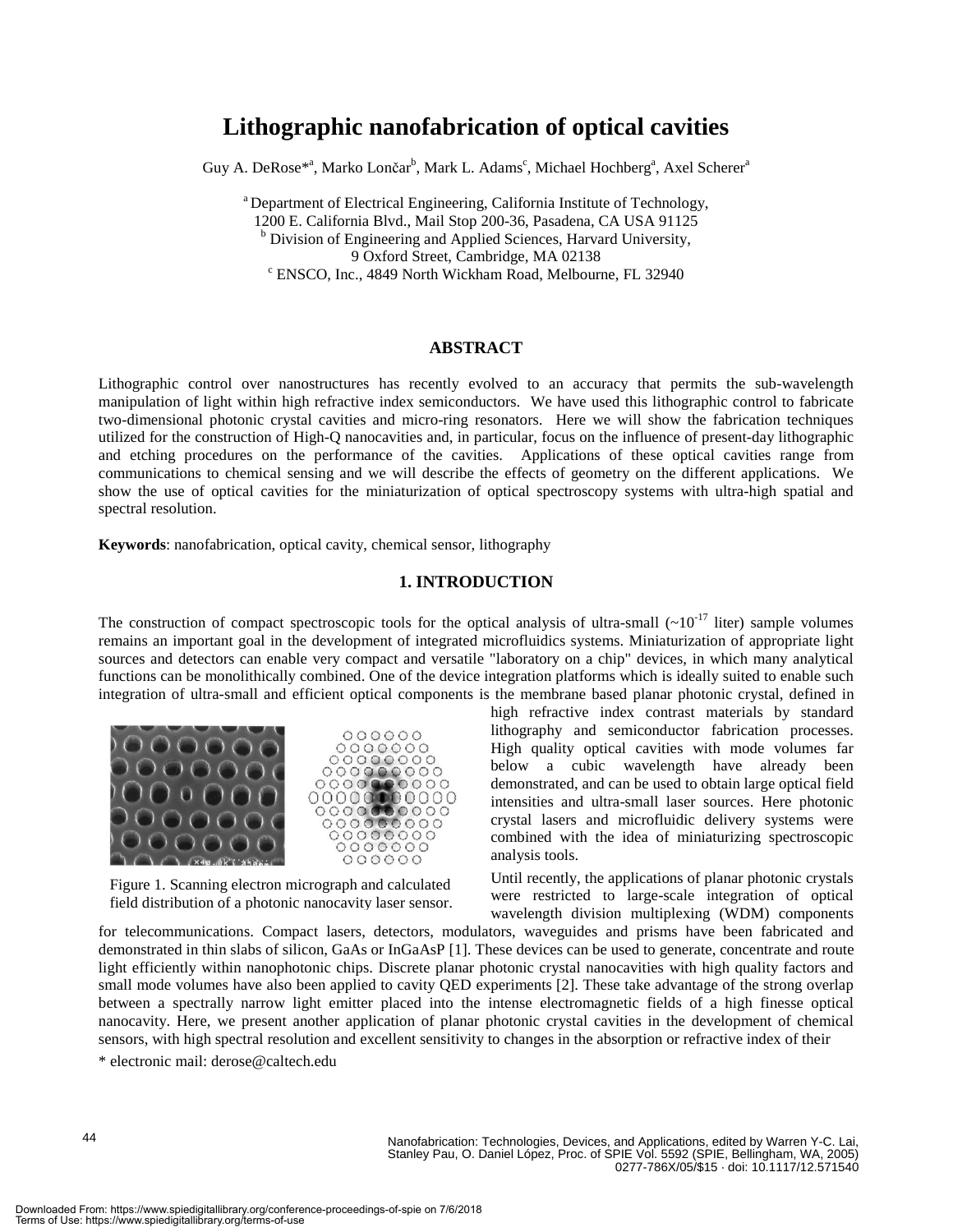### **Lithographic nanofabrication of optical cavities**

Guy A. DeRose<sup>\*a</sup>, Marko Lončar<sup>b</sup>, Mark L. Adams<sup>c</sup>, Michael Hochberg<sup>a</sup>, Axel Scherer<sup>a</sup>

<sup>a</sup> Department of Electrical Engineering, California Institute of Technology, 1200 E. California Blvd., Mail Stop 200-36, Pasadena, CA USA 91125 <sup>b</sup> Division of Engineering and Applied Sciences, Harvard University, 9 Oxford Street, Cambridge, MA 02138 ENSCO, Inc., 4849 North Wickham Road, Melbourne, FL 32940

#### **ABSTRACT**

Lithographic control over nanostructures has recently evolved to an accuracy that permits the sub-wavelength manipulation of light within high refractive index semiconductors. We have used this lithographic control to fabricate two-dimensional photonic crystal cavities and micro-ring resonators. Here we will show the fabrication techniques utilized for the construction of High-Q nanocavities and, in particular, focus on the influence of present-day lithographic and etching procedures on the performance of the cavities. Applications of these optical cavities range from communications to chemical sensing and we will describe the effects of geometry on the different applications. We show the use of optical cavities for the miniaturization of optical spectroscopy systems with ultra-high spatial and spectral resolution.

**Keywords**: nanofabrication, optical cavity, chemical sensor, lithography

#### **1. INTRODUCTION**

The construction of compact spectroscopic tools for the optical analysis of ultra-small  $({\sim}10^{-17}$  liter) sample volumes remains an important goal in the development of integrated microfluidics systems. Miniaturization of appropriate light sources and detectors can enable very compact and versatile "laboratory on a chip" devices, in which many analytical functions can be monolithically combined. One of the device integration platforms which is ideally suited to enable such integration of ultra-small and efficient optical components is the membrane based planar photonic crystal, defined in



Figure 1. Scanning electron micrograph and calculated field distribution of a photonic nanocavity laser sensor. high refractive index contrast materials by standard lithography and semiconductor fabrication processes. High quality optical cavities with mode volumes far below a cubic wavelength have already been demonstrated, and can be used to obtain large optical field intensities and ultra-small laser sources. Here photonic crystal lasers and microfluidic delivery systems were combined with the idea of miniaturizing spectroscopic analysis tools.

Until recently, the applications of planar photonic crystals were restricted to large-scale integration of optical wavelength division multiplexing (WDM) components

for telecommunications. Compact lasers, detectors, modulators, waveguides and prisms have been fabricated and demonstrated in thin slabs of silicon, GaAs or InGaAsP [1]. These devices can be used to generate, concentrate and route light efficiently within nanophotonic chips. Discrete planar photonic crystal nanocavities with high quality factors and small mode volumes have also been applied to cavity QED experiments [2]. These take advantage of the strong overlap between a spectrally narrow light emitter placed into the intense electromagnetic fields of a high finesse optical nanocavity. Here, we present another application of planar photonic crystal cavities in the development of chemical sensors, with high spectral resolution and excellent sensitivity to changes in the absorption or refractive index of their

\* electronic mail: derose@caltech.edu

Nanofabrication: Technologies, Devices, and Applications, edited by Warren Y-C. Lai, Stanley Pau, O. Daniel López, Proc. of SPIE Vol. 5592 (SPIE, Bellingham, WA, 2005) 0277-786X/05/\$15 · doi: 10.1117/12.571540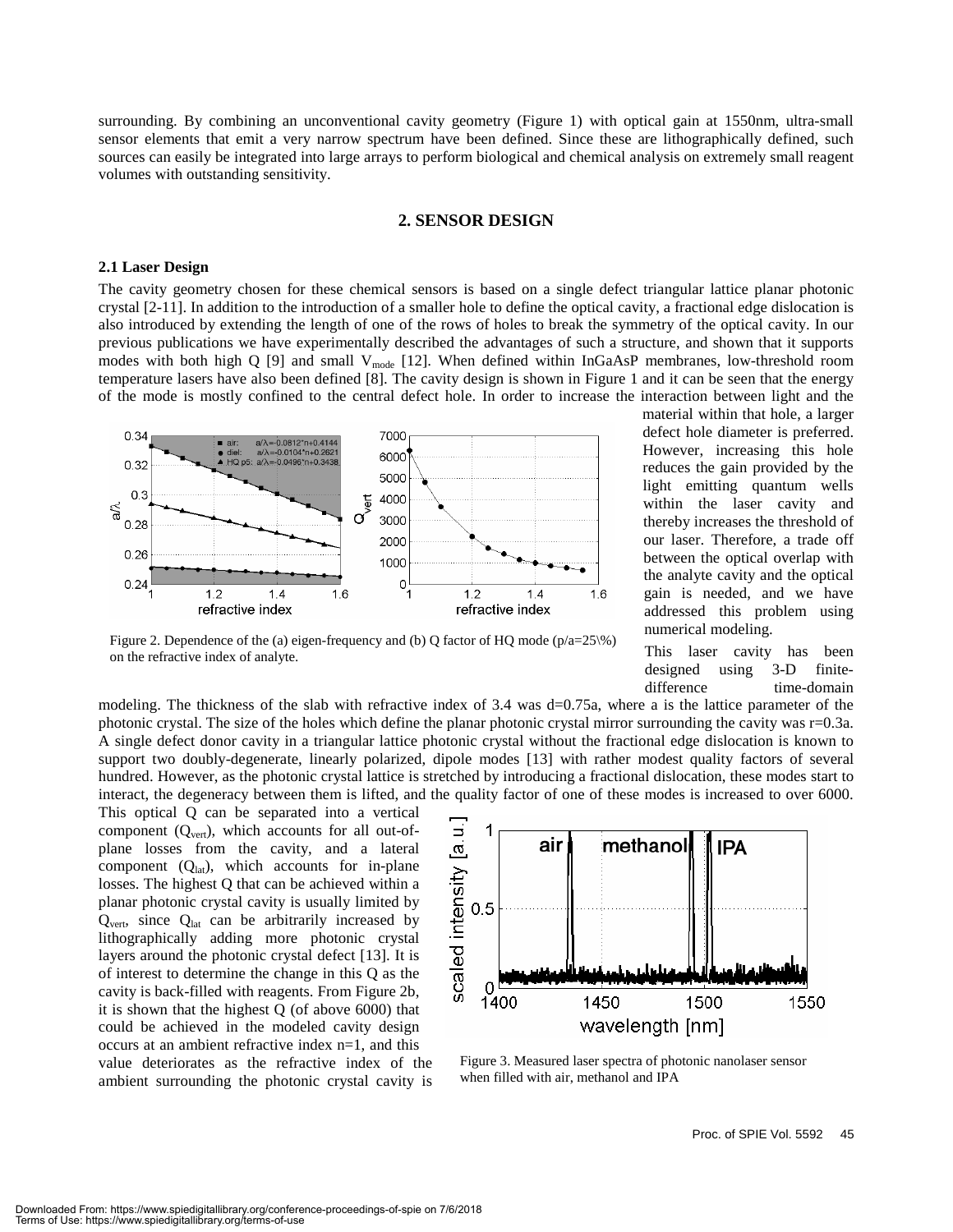surrounding. By combining an unconventional cavity geometry (Figure 1) with optical gain at 1550nm, ultra-small sensor elements that emit a very narrow spectrum have been defined. Since these are lithographically defined, such sources can easily be integrated into large arrays to perform biological and chemical analysis on extremely small reagent volumes with outstanding sensitivity.

#### **2. SENSOR DESIGN**

#### **2.1 Laser Design**

The cavity geometry chosen for these chemical sensors is based on a single defect triangular lattice planar photonic crystal [2-11]. In addition to the introduction of a smaller hole to define the optical cavity, a fractional edge dislocation is also introduced by extending the length of one of the rows of holes to break the symmetry of the optical cavity. In our previous publications we have experimentally described the advantages of such a structure, and shown that it supports modes with both high Q [9] and small  $V_{mode}$  [12]. When defined within InGaAsP membranes, low-threshold room temperature lasers have also been defined [8]. The cavity design is shown in Figure 1 and it can be seen that the energy of the mode is mostly confined to the central defect hole. In order to increase the interaction between light and the



Figure 2. Dependence of the (a) eigen-frequency and (b) Q factor of HQ mode ( $p/a=25\%$ ) on the refractive index of analyte.

material within that hole, a larger defect hole diameter is preferred. However, increasing this hole reduces the gain provided by the light emitting quantum wells within the laser cavity and thereby increases the threshold of our laser. Therefore, a trade off between the optical overlap with the analyte cavity and the optical gain is needed, and we have addressed this problem using numerical modeling.

This laser cavity has been designed using 3-D finitedifference time-domain

modeling. The thickness of the slab with refractive index of 3.4 was d=0.75a, where a is the lattice parameter of the photonic crystal. The size of the holes which define the planar photonic crystal mirror surrounding the cavity was r=0.3a. A single defect donor cavity in a triangular lattice photonic crystal without the fractional edge dislocation is known to support two doubly-degenerate, linearly polarized, dipole modes [13] with rather modest quality factors of several hundred. However, as the photonic crystal lattice is stretched by introducing a fractional dislocation, these modes start to interact, the degeneracy between them is lifted, and the quality factor of one of these modes is increased to over 6000.

This optical Q can be separated into a vertical component  $(Q<sub>vert</sub>)$ , which accounts for all out-ofplane losses from the cavity, and a lateral component  $(Q<sub>lat</sub>)$ , which accounts for in-plane losses. The highest Q that can be achieved within a planar photonic crystal cavity is usually limited by  $Q<sub>vert</sub>$ , since  $Q<sub>lat</sub>$  can be arbitrarily increased by lithographically adding more photonic crystal layers around the photonic crystal defect [13]. It is of interest to determine the change in this Q as the cavity is back-filled with reagents. From Figure 2b, it is shown that the highest Q (of above 6000) that could be achieved in the modeled cavity design occurs at an ambient refractive index n=1, and this value deteriorates as the refractive index of the ambient surrounding the photonic crystal cavity is



Figure 3. Measured laser spectra of photonic nanolaser sensor when filled with air, methanol and IPA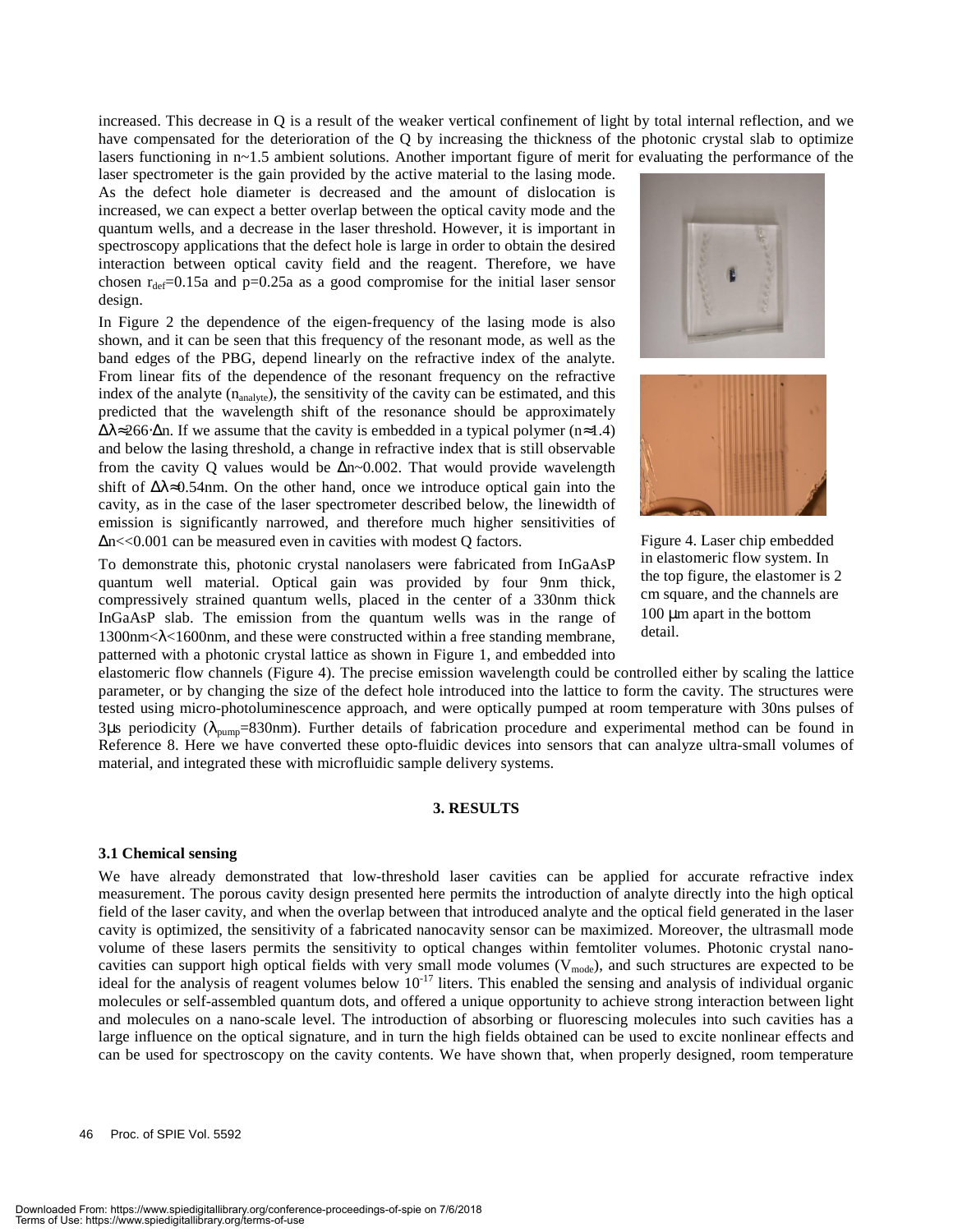increased. This decrease in Q is a result of the weaker vertical confinement of light by total internal reflection, and we have compensated for the deterioration of the Q by increasing the thickness of the photonic crystal slab to optimize lasers functioning in n~1.5 ambient solutions. Another important figure of merit for evaluating the performance of the

laser spectrometer is the gain provided by the active material to the lasing mode. As the defect hole diameter is decreased and the amount of dislocation is increased, we can expect a better overlap between the optical cavity mode and the quantum wells, and a decrease in the laser threshold. However, it is important in spectroscopy applications that the defect hole is large in order to obtain the desired interaction between optical cavity field and the reagent. Therefore, we have chosen  $r_{\text{def}} = 0.15a$  and  $p = 0.25a$  as a good compromise for the initial laser sensor design.

In Figure 2 the dependence of the eigen-frequency of the lasing mode is also shown, and it can be seen that this frequency of the resonant mode, as well as the band edges of the PBG, depend linearly on the refractive index of the analyte. From linear fits of the dependence of the resonant frequency on the refractive index of the analyte  $(n_{analyte})$ , the sensitivity of the cavity can be estimated, and this predicted that the wavelength shift of the resonance should be approximately  $\Delta\lambda \approx 266 \cdot \Delta n$ . If we assume that the cavity is embedded in a typical polymer (n≈1.4) and below the lasing threshold, a change in refractive index that is still observable from the cavity Q values would be  $\Delta n$ ~0.002. That would provide wavelength shift of ∆λ≈0.54nm. On the other hand, once we introduce optical gain into the cavity, as in the case of the laser spectrometer described below, the linewidth of emission is significantly narrowed, and therefore much higher sensitivities of ∆n<<0.001 can be measured even in cavities with modest Q factors.

To demonstrate this, photonic crystal nanolasers were fabricated from InGaAsP quantum well material. Optical gain was provided by four 9nm thick, compressively strained quantum wells, placed in the center of a 330nm thick InGaAsP slab. The emission from the quantum wells was in the range of  $1300$ nm< $\lambda$ <1600nm, and these were constructed within a free standing membrane, patterned with a photonic crystal lattice as shown in Figure 1, and embedded into





Figure 4. Laser chip embedded in elastomeric flow system. In the top figure, the elastomer is 2 cm square, and the channels are 100 µm apart in the bottom detail.

elastomeric flow channels (Figure 4). The precise emission wavelength could be controlled either by scaling the lattice parameter, or by changing the size of the defect hole introduced into the lattice to form the cavity. The structures were tested using micro-photoluminescence approach, and were optically pumped at room temperature with 30ns pulses of 3µs periodicity ( $\lambda_{\text{pump}}$ =830nm). Further details of fabrication procedure and experimental method can be found in Reference 8. Here we have converted these opto-fluidic devices into sensors that can analyze ultra-small volumes of material, and integrated these with microfluidic sample delivery systems.

#### **3. RESULTS**

#### **3.1 Chemical sensing**

We have already demonstrated that low-threshold laser cavities can be applied for accurate refractive index measurement. The porous cavity design presented here permits the introduction of analyte directly into the high optical field of the laser cavity, and when the overlap between that introduced analyte and the optical field generated in the laser cavity is optimized, the sensitivity of a fabricated nanocavity sensor can be maximized. Moreover, the ultrasmall mode volume of these lasers permits the sensitivity to optical changes within femtoliter volumes. Photonic crystal nanocavities can support high optical fields with very small mode volumes  $(V_{mode})$ , and such structures are expected to be ideal for the analysis of reagent volumes below  $10^{-17}$  liters. This enabled the sensing and analysis of individual organic molecules or self-assembled quantum dots, and offered a unique opportunity to achieve strong interaction between light and molecules on a nano-scale level. The introduction of absorbing or fluorescing molecules into such cavities has a large influence on the optical signature, and in turn the high fields obtained can be used to excite nonlinear effects and can be used for spectroscopy on the cavity contents. We have shown that, when properly designed, room temperature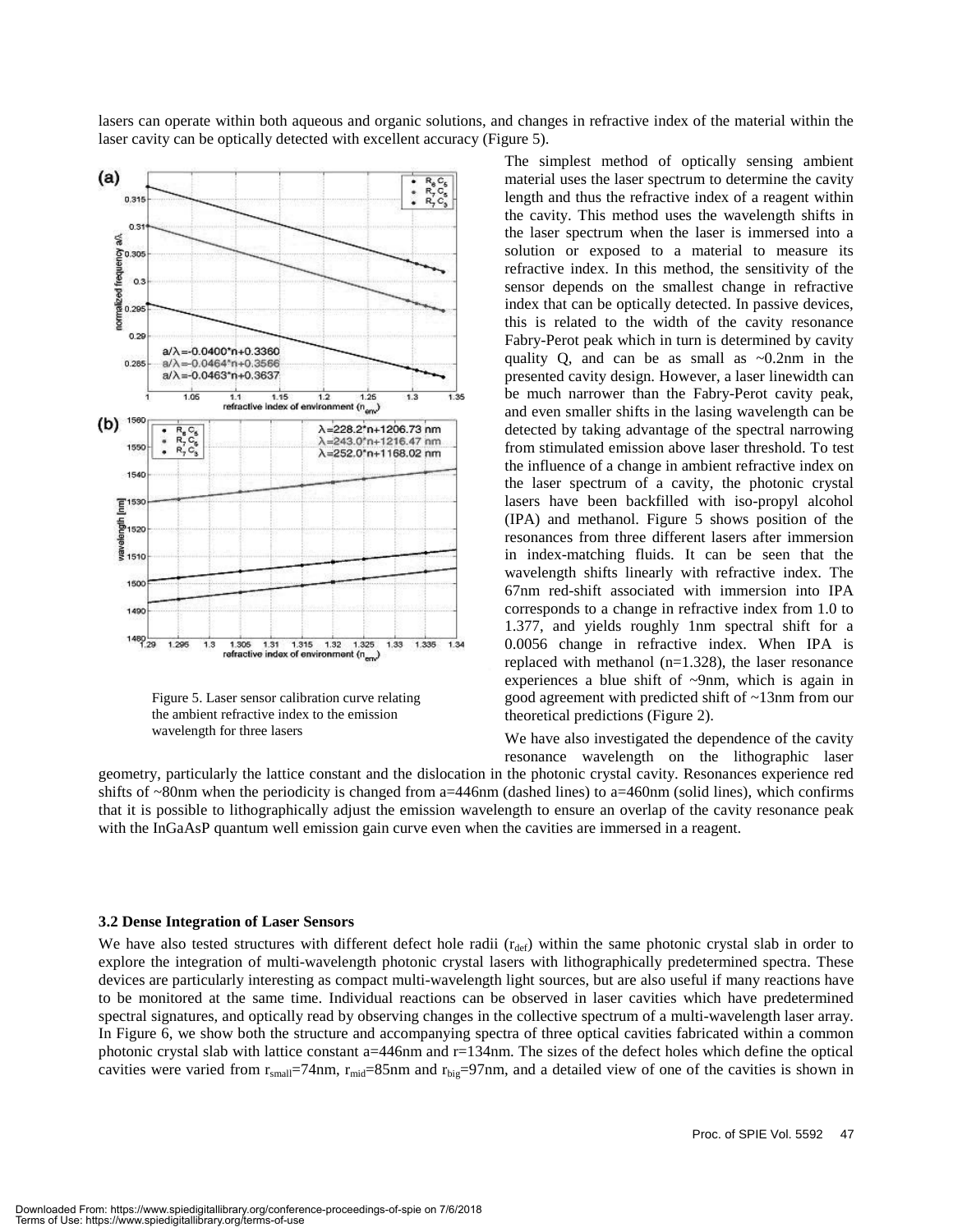lasers can operate within both aqueous and organic solutions, and changes in refractive index of the material within the laser cavity can be optically detected with excellent accuracy (Figure 5).



Figure 5. Laser sensor calibration curve relating the ambient refractive index to the emission wavelength for three lasers

The simplest method of optically sensing ambient material uses the laser spectrum to determine the cavity length and thus the refractive index of a reagent within the cavity. This method uses the wavelength shifts in the laser spectrum when the laser is immersed into a solution or exposed to a material to measure its refractive index. In this method, the sensitivity of the sensor depends on the smallest change in refractive index that can be optically detected. In passive devices, this is related to the width of the cavity resonance Fabry-Perot peak which in turn is determined by cavity quality Q, and can be as small as  $\sim 0.2$ nm in the presented cavity design. However, a laser linewidth can be much narrower than the Fabry-Perot cavity peak, and even smaller shifts in the lasing wavelength can be detected by taking advantage of the spectral narrowing from stimulated emission above laser threshold. To test the influence of a change in ambient refractive index on the laser spectrum of a cavity, the photonic crystal lasers have been backfilled with iso-propyl alcohol (IPA) and methanol. Figure 5 shows position of the resonances from three different lasers after immersion in index-matching fluids. It can be seen that the wavelength shifts linearly with refractive index. The 67nm red-shift associated with immersion into IPA corresponds to a change in refractive index from 1.0 to 1.377, and yields roughly 1nm spectral shift for a 0.0056 change in refractive index. When IPA is replaced with methanol (n=1.328), the laser resonance experiences a blue shift of  $\sim$ 9nm, which is again in good agreement with predicted shift of ~13nm from our theoretical predictions (Figure 2).

We have also investigated the dependence of the cavity resonance wavelength on the lithographic laser

geometry, particularly the lattice constant and the dislocation in the photonic crystal cavity. Resonances experience red shifts of  $\sim$ 80nm when the periodicity is changed from a=446nm (dashed lines) to a=460nm (solid lines), which confirms that it is possible to lithographically adjust the emission wavelength to ensure an overlap of the cavity resonance peak with the InGaAsP quantum well emission gain curve even when the cavities are immersed in a reagent.

#### **3.2 Dense Integration of Laser Sensors**

We have also tested structures with different defect hole radii  $(r_{\text{def}})$  within the same photonic crystal slab in order to explore the integration of multi-wavelength photonic crystal lasers with lithographically predetermined spectra. These devices are particularly interesting as compact multi-wavelength light sources, but are also useful if many reactions have to be monitored at the same time. Individual reactions can be observed in laser cavities which have predetermined spectral signatures, and optically read by observing changes in the collective spectrum of a multi-wavelength laser array. In Figure 6, we show both the structure and accompanying spectra of three optical cavities fabricated within a common photonic crystal slab with lattice constant a=446nm and r=134nm. The sizes of the defect holes which define the optical cavities were varied from  $r_{small}=74$ nm,  $r_{mid}=85$ nm and  $r_{big}=97$ nm, and a detailed view of one of the cavities is shown in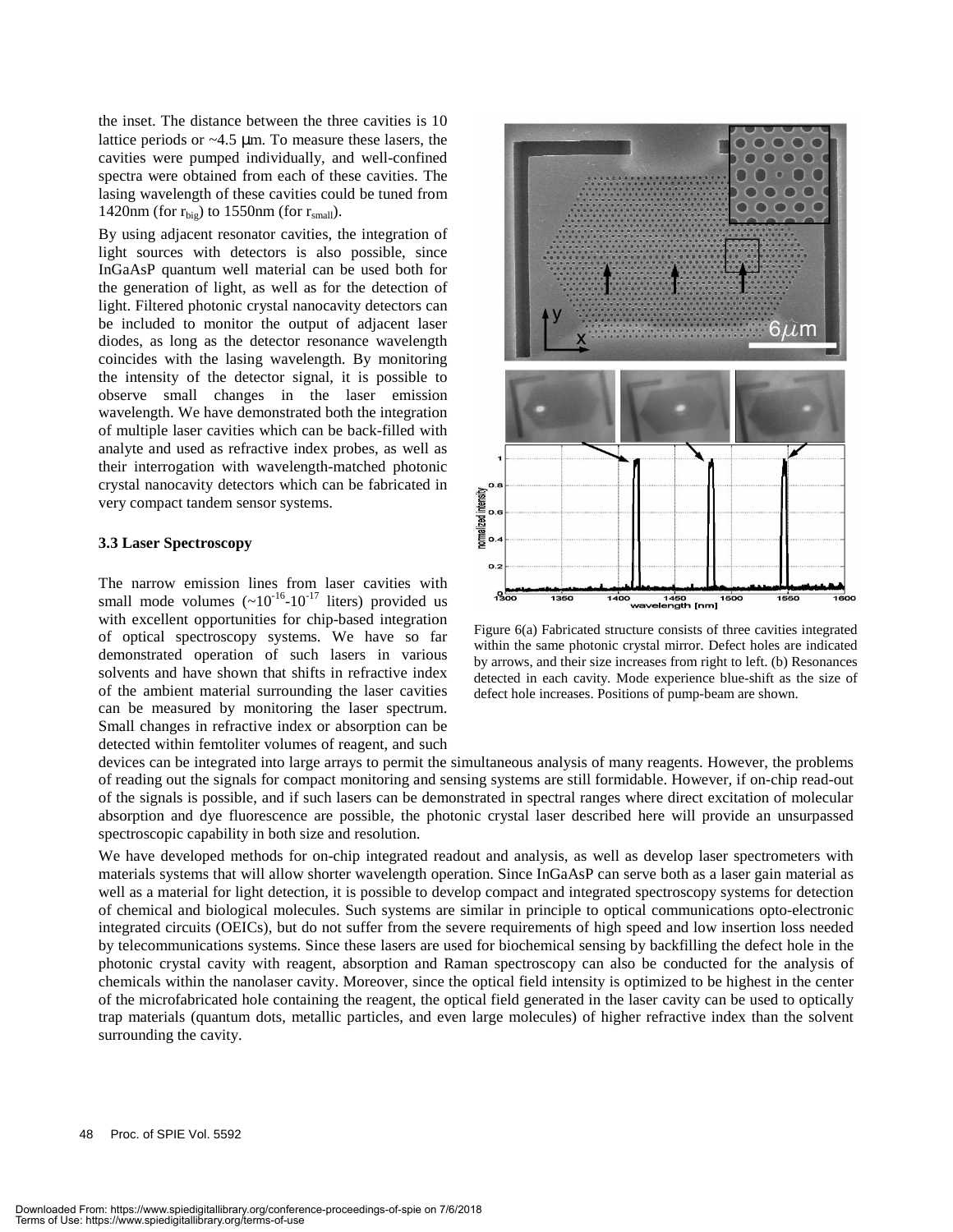the inset. The distance between the three cavities is 10 lattice periods or ~4.5 µm. To measure these lasers, the cavities were pumped individually, and well-confined spectra were obtained from each of these cavities. The lasing wavelength of these cavities could be tuned from 1420nm (for  $r_{\text{big}}$ ) to 1550nm (for  $r_{\text{small}}$ ).

By using adjacent resonator cavities, the integration of light sources with detectors is also possible, since InGaAsP quantum well material can be used both for the generation of light, as well as for the detection of light. Filtered photonic crystal nanocavity detectors can be included to monitor the output of adjacent laser diodes, as long as the detector resonance wavelength coincides with the lasing wavelength. By monitoring the intensity of the detector signal, it is possible to observe small changes in the laser emission wavelength. We have demonstrated both the integration of multiple laser cavities which can be back-filled with analyte and used as refractive index probes, as well as their interrogation with wavelength-matched photonic crystal nanocavity detectors which can be fabricated in very compact tandem sensor systems.

#### **3.3 Laser Spectroscopy**

The narrow emission lines from laser cavities with small mode volumes  $({\sim}10^{-16}$ - $10^{-17}$  liters) provided us with excellent opportunities for chip-based integration of optical spectroscopy systems. We have so far demonstrated operation of such lasers in various solvents and have shown that shifts in refractive index of the ambient material surrounding the laser cavities can be measured by monitoring the laser spectrum. Small changes in refractive index or absorption can be detected within femtoliter volumes of reagent, and such



Figure 6(a) Fabricated structure consists of three cavities integrated within the same photonic crystal mirror. Defect holes are indicated by arrows, and their size increases from right to left. (b) Resonances detected in each cavity. Mode experience blue-shift as the size of defect hole increases. Positions of pump-beam are shown.

devices can be integrated into large arrays to permit the simultaneous analysis of many reagents. However, the problems of reading out the signals for compact monitoring and sensing systems are still formidable. However, if on-chip read-out of the signals is possible, and if such lasers can be demonstrated in spectral ranges where direct excitation of molecular absorption and dye fluorescence are possible, the photonic crystal laser described here will provide an unsurpassed spectroscopic capability in both size and resolution.

We have developed methods for on-chip integrated readout and analysis, as well as develop laser spectrometers with materials systems that will allow shorter wavelength operation. Since InGaAsP can serve both as a laser gain material as well as a material for light detection, it is possible to develop compact and integrated spectroscopy systems for detection of chemical and biological molecules. Such systems are similar in principle to optical communications opto-electronic integrated circuits (OEICs), but do not suffer from the severe requirements of high speed and low insertion loss needed by telecommunications systems. Since these lasers are used for biochemical sensing by backfilling the defect hole in the photonic crystal cavity with reagent, absorption and Raman spectroscopy can also be conducted for the analysis of chemicals within the nanolaser cavity. Moreover, since the optical field intensity is optimized to be highest in the center of the microfabricated hole containing the reagent, the optical field generated in the laser cavity can be used to optically trap materials (quantum dots, metallic particles, and even large molecules) of higher refractive index than the solvent surrounding the cavity.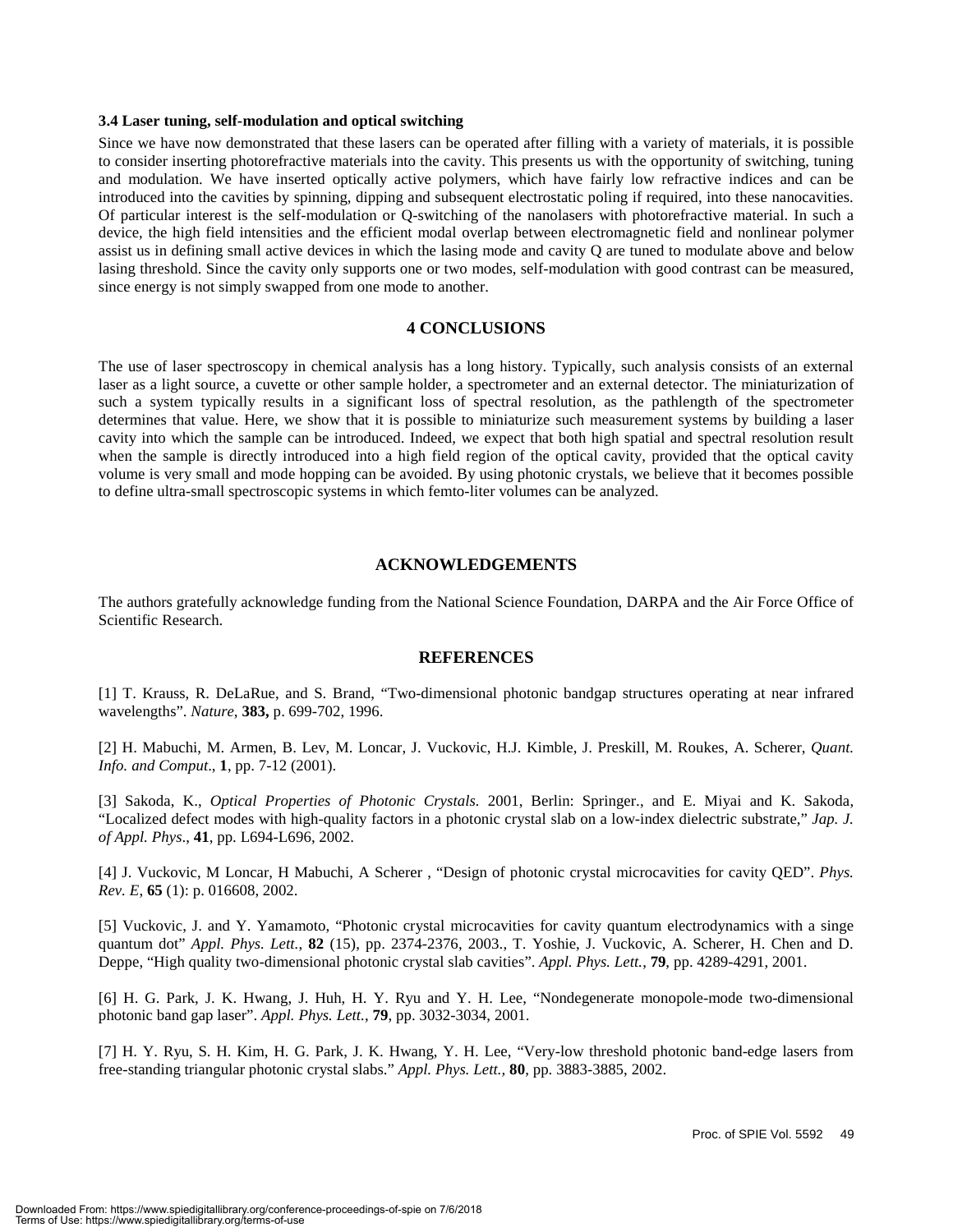#### **3.4 Laser tuning, self-modulation and optical switching**

Since we have now demonstrated that these lasers can be operated after filling with a variety of materials, it is possible to consider inserting photorefractive materials into the cavity. This presents us with the opportunity of switching, tuning and modulation. We have inserted optically active polymers, which have fairly low refractive indices and can be introduced into the cavities by spinning, dipping and subsequent electrostatic poling if required, into these nanocavities. Of particular interest is the self-modulation or Q-switching of the nanolasers with photorefractive material. In such a device, the high field intensities and the efficient modal overlap between electromagnetic field and nonlinear polymer assist us in defining small active devices in which the lasing mode and cavity Q are tuned to modulate above and below lasing threshold. Since the cavity only supports one or two modes, self-modulation with good contrast can be measured, since energy is not simply swapped from one mode to another.

#### **4 CONCLUSIONS**

The use of laser spectroscopy in chemical analysis has a long history. Typically, such analysis consists of an external laser as a light source, a cuvette or other sample holder, a spectrometer and an external detector. The miniaturization of such a system typically results in a significant loss of spectral resolution, as the pathlength of the spectrometer determines that value. Here, we show that it is possible to miniaturize such measurement systems by building a laser cavity into which the sample can be introduced. Indeed, we expect that both high spatial and spectral resolution result when the sample is directly introduced into a high field region of the optical cavity, provided that the optical cavity volume is very small and mode hopping can be avoided. By using photonic crystals, we believe that it becomes possible to define ultra-small spectroscopic systems in which femto-liter volumes can be analyzed.

#### **ACKNOWLEDGEMENTS**

The authors gratefully acknowledge funding from the National Science Foundation, DARPA and the Air Force Office of Scientific Research.

#### **REFERENCES**

[1] T. Krauss, R. DeLaRue, and S. Brand, "Two-dimensional photonic bandgap structures operating at near infrared wavelengths". *Nature*, **383,** p. 699-702, 1996.

[2] H. Mabuchi, M. Armen, B. Lev, M. Loncar, J. Vuckovic, H.J. Kimble, J. Preskill, M. Roukes, A. Scherer, *Quant. Info. and Comput*., **1**, pp. 7-12 (2001).

[3] Sakoda, K., *Optical Properties of Photonic Crystals.* 2001, Berlin: Springer., and E. Miyai and K. Sakoda, "Localized defect modes with high-quality factors in a photonic crystal slab on a low-index dielectric substrate," *Jap. J. of Appl. Phys*., **41**, pp. L694-L696, 2002.

[4] J. Vuckovic, M Loncar, H Mabuchi, A Scherer , "Design of photonic crystal microcavities for cavity QED". *Phys. Rev. E*, **65** (1): p. 016608, 2002.

[5] Vuckovic, J. and Y. Yamamoto, "Photonic crystal microcavities for cavity quantum electrodynamics with a singe quantum dot" *Appl. Phys. Lett.*, **82** (15), pp. 2374-2376, 2003., T. Yoshie, J. Vuckovic, A. Scherer, H. Chen and D. Deppe, "High quality two-dimensional photonic crystal slab cavities". *Appl. Phys. Lett.*, **79**, pp. 4289-4291, 2001.

[6] H. G. Park, J. K. Hwang, J. Huh, H. Y. Ryu and Y. H. Lee, "Nondegenerate monopole-mode two-dimensional photonic band gap laser". *Appl. Phys. Lett.*, **79**, pp. 3032-3034, 2001.

[7] H. Y. Ryu, S. H. Kim, H. G. Park, J. K. Hwang, Y. H. Lee, "Very-low threshold photonic band-edge lasers from free-standing triangular photonic crystal slabs." *Appl. Phys. Lett.,* **80**, pp. 3883-3885, 2002.